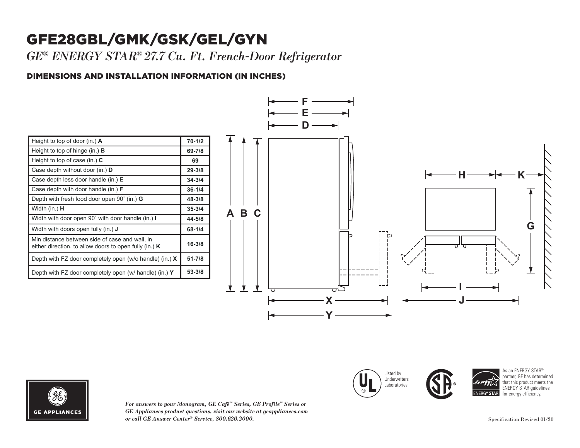## GFE28GBL/GMK/GSK/GEL/GYN

*GE® ENERGY STAR® 27.7 Cu. Ft. French-Door Refrigerator*

### DIMENSIONS AND INSTALLATION INFORMATION (IN INCHES) **I**

| Height to top of door (in.) $\bf{A}$                                                                       | $70 - 1/2$ |
|------------------------------------------------------------------------------------------------------------|------------|
| Height to top of hinge (in.) $\bf{B}$                                                                      | 69-7/8     |
| Height to top of case (in.) $C$                                                                            | 69         |
| Case depth without door (in.) <b>D</b>                                                                     | $29 - 3/8$ |
| Case depth less door handle (in.) $E$                                                                      | $34 - 3/4$ |
| Case depth with door handle (in.) $F$                                                                      | $36 - 1/4$ |
| Depth with fresh food door open $90^{\circ}$ (in.) G                                                       | 48-3/8     |
| Width (in.) <b>H</b>                                                                                       | $35 - 3/4$ |
| Width with door open 90° with door handle (in.) I                                                          | 44-5/8     |
| Width with doors open fully (in.) <b>J</b>                                                                 | 68-1/4     |
| Min distance between side of case and wall, in<br>either direction, to allow doors to open fully (in.) $K$ | $16 - 3/8$ |
| Depth with FZ door completely open (w/o handle) (in.) $X$                                                  | $51 - 7/8$ |
| Depth with FZ door completely open (w/ handle) (in.) Y                                                     | 53-3/8     |



Listed by **Underwriters Laboratories** 

Case depth without door (in.) **D** Case depth less door handle (in.) **E** Case depth with door handle (in.) **F**



*For answers to your Monogram, GE Café™ Series, GE Profile™ Series or GE Appliances product questions, visit our website at geappliances.com or call GE Answer Center® Service, 800.626.2000.* Specification Revised 01/20

As an ENERGY STAR® partner, GE has determined that this product meets the ENERGY STAR guidelines for energy efficiency

**29-3/8 34-3/4 36-1/4**